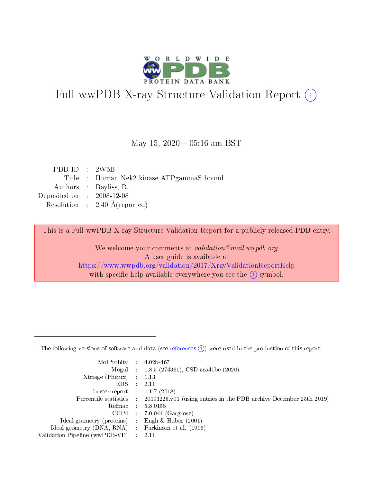

# Full wwPDB X-ray Structure Validation Report (i)

#### May 15,  $2020 - 05:16$  am BST

| PDB ID : $2W5B$             |                                          |
|-----------------------------|------------------------------------------|
|                             | Title: Human Nek2 kinase ATPgammaS-bound |
|                             | Authors : Bayliss, R.                    |
| Deposited on : $2008-12-08$ |                                          |
|                             | Resolution : $2.40 \text{ Å}$ (reported) |
|                             |                                          |

This is a Full wwPDB X-ray Structure Validation Report for a publicly released PDB entry.

We welcome your comments at validation@mail.wwpdb.org A user guide is available at <https://www.wwpdb.org/validation/2017/XrayValidationReportHelp> with specific help available everywhere you see the  $(i)$  symbol.

The following versions of software and data (see [references](https://www.wwpdb.org/validation/2017/XrayValidationReportHelp#references)  $(1)$ ) were used in the production of this report:

| MolProbity :                   |               | $4.02b - 467$                                                               |
|--------------------------------|---------------|-----------------------------------------------------------------------------|
|                                |               | Mogul : $1.8.5$ (274361), CSD as 541be (2020)                               |
| Xtriage (Phenix)               | $\mathcal{L}$ | 1.13                                                                        |
| EDS.                           |               | 2.11                                                                        |
| buster-report : $1.1.7$ (2018) |               |                                                                             |
| Percentile statistics :        |               | $20191225 \text{v}01$ (using entries in the PDB archive December 25th 2019) |
| Refmac :                       |               | 5.8.0158                                                                    |
| CCP4                           |               | $7.0.044$ (Gargrove)                                                        |
| Ideal geometry (proteins) :    |               | Engh & Huber $(2001)$                                                       |
| Ideal geometry (DNA, RNA) :    |               | Parkinson et al. (1996)                                                     |
| Validation Pipeline (wwPDB-VP) | $\mathcal{L}$ | 2.11                                                                        |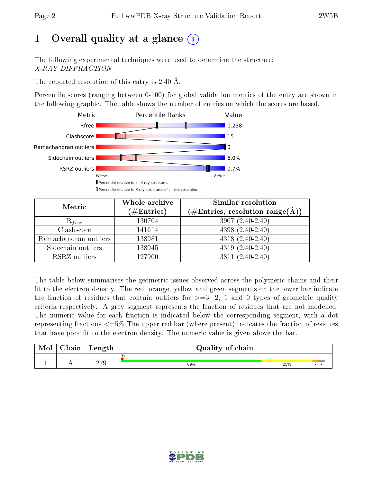# 1 [O](https://www.wwpdb.org/validation/2017/XrayValidationReportHelp#overall_quality)verall quality at a glance  $(i)$

The following experimental techniques were used to determine the structure: X-RAY DIFFRACTION

The reported resolution of this entry is 2.40 Å.

Percentile scores (ranging between 0-100) for global validation metrics of the entry are shown in the following graphic. The table shows the number of entries on which the scores are based.



| Metric                | Whole archive<br>$(\#\text{Entries})$ | Similar resolution<br>$(\#\text{Entries},\,\text{resolution}\,\,\text{range}(\textup{\AA}))$ |
|-----------------------|---------------------------------------|----------------------------------------------------------------------------------------------|
| $R_{free}$            | 130704                                | $3907(2.40-2.40)$                                                                            |
| Clashscore            | 141614                                | $4398(2.40-2.40)$                                                                            |
| Ramachandran outliers | 138981                                | $4318(2.40-2.40)$                                                                            |
| Sidechain outliers    | 138945                                | $4319(2.40-2.40)$                                                                            |
| RSRZ outliers         | 127900                                | $3811 (2.40 - 2.40)$                                                                         |

The table below summarises the geometric issues observed across the polymeric chains and their fit to the electron density. The red, orange, yellow and green segments on the lower bar indicate the fraction of residues that contain outliers for  $>=3, 2, 1$  and 0 types of geometric quality criteria respectively. A grey segment represents the fraction of residues that are not modelled. The numeric value for each fraction is indicated below the corresponding segment, with a dot representing fractions  $\epsilon=5\%$  The upper red bar (where present) indicates the fraction of residues that have poor fit to the electron density. The numeric value is given above the bar.

| Mol | $\gamma$ hain | Length | Quality of chain |     |  |
|-----|---------------|--------|------------------|-----|--|
|     |               |        | %                |     |  |
|     |               | חדר    | 69%              | 25% |  |

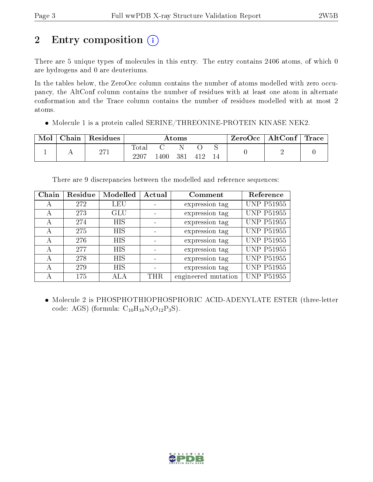# 2 Entry composition (i)

There are 5 unique types of molecules in this entry. The entry contains 2406 atoms, of which 0 are hydrogens and 0 are deuteriums.

In the tables below, the ZeroOcc column contains the number of atoms modelled with zero occupancy, the AltConf column contains the number of residues with at least one atom in alternate conformation and the Trace column contains the number of residues modelled with at most 2 atoms.

Molecule 1 is a protein called SERINE/THREONINE-PROTEIN KINASE NEK2.

| Mol | Chain | Residues | Atoms                    |      |     |     | $\mid$ ZeroOcc $\mid$ AltConf $\mid$ Trace |  |  |
|-----|-------|----------|--------------------------|------|-----|-----|--------------------------------------------|--|--|
|     |       | 271      | $\mathrm{Total}$<br>2207 | .400 | 381 | 412 |                                            |  |  |

There are 9 discrepancies between the modelled and reference sequences:

| Chain | Residue | Modelled   | Actual | Comment             | Reference         |
|-------|---------|------------|--------|---------------------|-------------------|
| А     | 272     | LEU        |        | expression tag      | <b>UNP P51955</b> |
|       | 273     | GLU        |        | expression tag      | <b>UNP P51955</b> |
| А     | 274     | <b>HIS</b> |        | expression tag      | <b>UNP P51955</b> |
| А     | 275     | <b>HIS</b> |        | expression tag      | <b>UNP P51955</b> |
| А     | 276     | <b>HIS</b> |        | expression tag      | <b>UNP P51955</b> |
| А     | 277     | <b>HIS</b> |        | expression tag      | <b>UNP P51955</b> |
| А     | 278     | <b>HIS</b> |        | expression tag      | <b>UNP P51955</b> |
| А     | 279     | <b>HIS</b> |        | expression tag      | <b>UNP P51955</b> |
|       | 175     |            | THR.   | engineered mutation | <b>UNP P51955</b> |

 Molecule 2 is PHOSPHOTHIOPHOSPHORIC ACID-ADENYLATE ESTER (three-letter code: AGS) (formula:  $C_{10}H_{16}N_5O_{12}P_3S$ ).

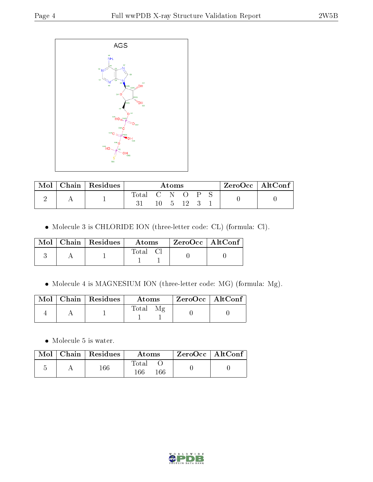

| Mol | Chain Residues | Atoms             |  |                 |  | $ZeroOcc \mid AltConf \mid$ |  |  |
|-----|----------------|-------------------|--|-----------------|--|-----------------------------|--|--|
|     |                | $T_{\text{otal}}$ |  | - N<br>$\Delta$ |  |                             |  |  |

Molecule 3 is CHLORIDE ION (three-letter code: CL) (formula: Cl).

|  | $\text{Mol}$   Chain   Residues | Atoms | ZeroOcc   AltConf |  |
|--|---------------------------------|-------|-------------------|--|
|  |                                 | Total |                   |  |

Molecule 4 is MAGNESIUM ION (three-letter code: MG) (formula: Mg).

|  | Mol   Chain   Residues | Atoms | ZeroOcc   AltConf |  |
|--|------------------------|-------|-------------------|--|
|  |                        | Total |                   |  |

• Molecule 5 is water.

|  | $\blacksquare$ Mol $\parallel$ Chain $\parallel$ Residues $\parallel$ | <b>Atoms</b>        | $\lq$ ZeroOcc   AltConf |  |
|--|-----------------------------------------------------------------------|---------------------|-------------------------|--|
|  | $166\,$                                                               | Total<br>166<br>166 |                         |  |

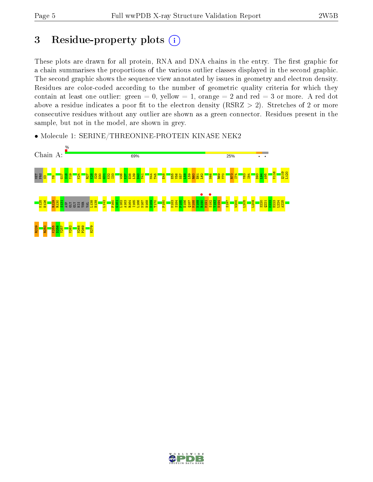# 3 Residue-property plots  $(i)$

These plots are drawn for all protein, RNA and DNA chains in the entry. The first graphic for a chain summarises the proportions of the various outlier classes displayed in the second graphic. The second graphic shows the sequence view annotated by issues in geometry and electron density. Residues are color-coded according to the number of geometric quality criteria for which they contain at least one outlier: green  $= 0$ , yellow  $= 1$ , orange  $= 2$  and red  $= 3$  or more. A red dot above a residue indicates a poor fit to the electron density (RSRZ  $> 2$ ). Stretches of 2 or more consecutive residues without any outlier are shown as a green connector. Residues present in the sample, but not in the model, are shown in grey.

• Molecule 1: SERINE/THREONINE-PROTEIN KINASE NEK2



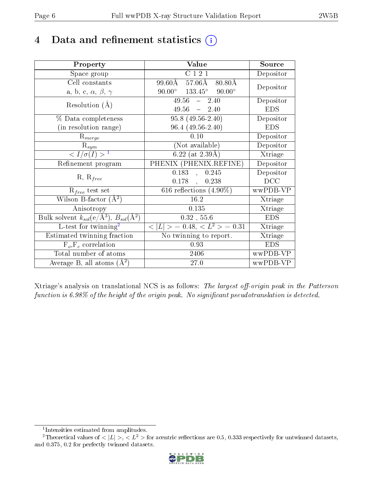# 4 Data and refinement statistics  $(i)$

| Property                                                             | Value                                            | Source     |
|----------------------------------------------------------------------|--------------------------------------------------|------------|
| Space group                                                          | C121                                             | Depositor  |
| Cell constants                                                       | $57.06\text{\AA}$<br>99.60Å<br>$80.80\text{\AA}$ | Depositor  |
| a, b, c, $\alpha$ , $\beta$ , $\gamma$                               | $90.00^{\circ}$ $133.45^{\circ}$ $90.00^{\circ}$ |            |
| Resolution $(A)$                                                     | $49.56 - 2.40$                                   | Depositor  |
|                                                                      | $49.56 = 2.40$                                   | <b>EDS</b> |
| $\%$ Data completeness                                               | $95.8(49.56-2.40)$                               | Depositor  |
| (in resolution range)                                                | $96.4(49.56-2.40)$                               | <b>EDS</b> |
| $R_{merge}$                                                          | 0.10                                             | Depositor  |
| $\mathrm{R}_{sym}$                                                   | (Not available)                                  | Depositor  |
| $\sqrt{I/\sigma}(I) > 1$                                             | $6.22$ (at 2.39Å)                                | Xtriage    |
| Refinement program                                                   | PHENIX (PHENIX.REFINE)                           | Depositor  |
|                                                                      | 0.183<br>0.245<br>$\ddot{\phantom{a}}$           | Depositor  |
| $R, R_{free}$                                                        | $0.178$ ,<br>0.238                               | DCC        |
| $R_{free}$ test set                                                  | $616$ reflections $(4.90\%)$                     | wwPDB-VP   |
| Wilson B-factor $(A^2)$                                              | 16.2                                             | Xtriage    |
| Anisotropy                                                           | 0.135                                            | Xtriage    |
| Bulk solvent $k_{sol}(e/\mathring{A}^3)$ , $B_{sol}(\mathring{A}^2)$ | $0.32$ , 55.6                                    | <b>EDS</b> |
| L-test for $\overline{\text{twinning}}^2$                            | $< L >$ = 0.48, $< L2 >$ = 0.31                  | Xtriage    |
| Estimated twinning fraction                                          | No twinning to report.                           | Xtriage    |
| $\overline{F_o}, \overline{F_c}$ correlation                         | 0.93                                             | <b>EDS</b> |
| Total number of atoms                                                | 2406                                             | wwPDB-VP   |
| Average B, all atoms $(A^2)$                                         | 27.0                                             | wwPDB-VP   |

Xtriage's analysis on translational NCS is as follows: The largest off-origin peak in the Patterson function is  $6.98\%$  of the height of the origin peak. No significant pseudotranslation is detected.

<sup>&</sup>lt;sup>2</sup>Theoretical values of  $\langle |L| \rangle$ ,  $\langle L^2 \rangle$  for acentric reflections are 0.5, 0.333 respectively for untwinned datasets, and 0.375, 0.2 for perfectly twinned datasets.



<span id="page-5-1"></span><span id="page-5-0"></span><sup>1</sup> Intensities estimated from amplitudes.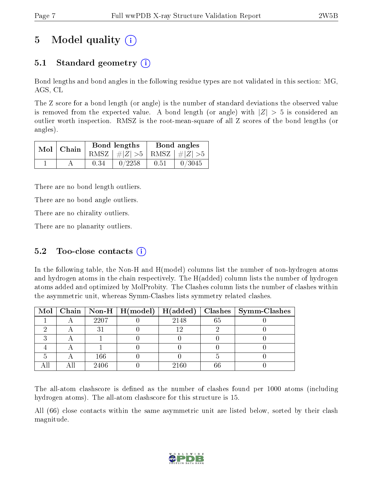# 5 Model quality  $(i)$

## 5.1 Standard geometry (i)

Bond lengths and bond angles in the following residue types are not validated in this section: MG, AGS, CL

The Z score for a bond length (or angle) is the number of standard deviations the observed value is removed from the expected value. A bond length (or angle) with  $|Z| > 5$  is considered an outlier worth inspection. RMSZ is the root-mean-square of all Z scores of the bond lengths (or angles).

| $Mol$   Chain |      | Bond lengths                    | Bond angles |        |  |
|---------------|------|---------------------------------|-------------|--------|--|
|               |      | RMSZ $ #Z  > 5$ RMSZ $ #Z  > 5$ |             |        |  |
|               | 0.34 | 0/2258                          | 0.51        | 0/3045 |  |

There are no bond length outliers.

There are no bond angle outliers.

There are no chirality outliers.

There are no planarity outliers.

### 5.2 Too-close contacts  $(i)$

In the following table, the Non-H and H(model) columns list the number of non-hydrogen atoms and hydrogen atoms in the chain respectively. The H(added) column lists the number of hydrogen atoms added and optimized by MolProbity. The Clashes column lists the number of clashes within the asymmetric unit, whereas Symm-Clashes lists symmetry related clashes.

|  |      |      |    | Mol   Chain   Non-H   H(model)   H(added)   Clashes   Symm-Clashes |
|--|------|------|----|--------------------------------------------------------------------|
|  | 2207 | 2148 | 65 |                                                                    |
|  |      | 19.  |    |                                                                    |
|  |      |      |    |                                                                    |
|  |      |      |    |                                                                    |
|  | 166  |      |    |                                                                    |
|  | 2406 | 2160 |    |                                                                    |

The all-atom clashscore is defined as the number of clashes found per 1000 atoms (including hydrogen atoms). The all-atom clashscore for this structure is 15.

All (66) close contacts within the same asymmetric unit are listed below, sorted by their clash magnitude.

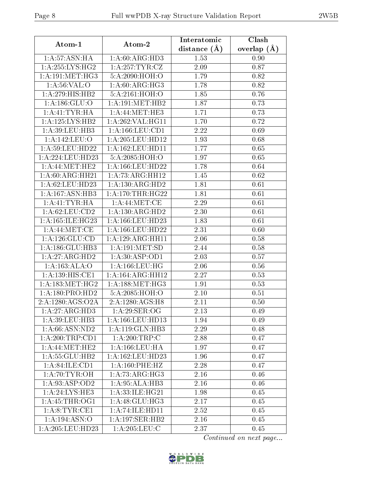|--|--|

| Atom-1                          | Atom-2                      | Interatomic       | Clash         |
|---------------------------------|-----------------------------|-------------------|---------------|
|                                 |                             | distance $(A)$    | overlap $(A)$ |
| 1:A:57:ASN:HA                   | 1:A:60:ARG:HD3              | 1.53              | 0.90          |
| 1: A:255: LYS:HG2               | 1: A:257:TYR:CZ             | 2.09              | 0.87          |
| 1: A:191:MET:HG3                | 5:A:2090:HOH:O              | 1.79              | 0.82          |
| 1: A:56: VAL:O                  | 1: A:60: ARG: HG3           | 1.78              | 0.82          |
| 1:A:279:HIS:HB2                 | 5:A:2161:HOH:O              | 1.85              | 0.76          |
| 1: A: 186: GLU:O                | 1:A:191:MET:HB2             | 1.87              | 0.73          |
| 1:A:41:TYR:HA                   | 1: A:44:MET:HE3             | 1.71              | 0.73          |
| 1:A:125:LYS:HB2                 | 1: A:262:VAL:HG11           | 1.70              | 0.72          |
| 1:A:39:LEU:HB3                  | 1: A: 166: LEU: CD1         | 2.22              | 0.69          |
| 1:A:142:LEU:O                   | 1: A:205:LEU:HD12           | 1.93              | 0.68          |
| 1:A:59:LEU:HD22                 | 1:A:162:LEU:HD11            | 1.77              | 0.65          |
| 1:A:224:LEU:HD23                | 5:A:2085:HOH:O              | 1.97              | 0.65          |
| 1: A:44: MET:HE2                | 1: A: 166: LEU: HD22        | 1.78              | 0.64          |
| $1:A:60:ARG:H\overline{H21}$    | 1:A:73:ARG:HH12             | 1.45              | 0.62          |
| 1:A:62:LEU:HD23                 | 1:A:130:ARG:HD2             | 1.81              | 0.61          |
| 1:A:167:ASN:HB3                 | 1: A:170:THR:HG22           | 1.81              | 0.61          |
| 1: A: 41: TYR: HA               | 1: A:44:MET:CE              | 2.29              | 0.61          |
| 1: A:62:LEU:CD2                 | 1:A:130:ARG:HD2             | 2.30              | 0.61          |
| 1:A:165:ILE:HG23                | 1:A:166:LEU:HD23            | 1.83              | 0.61          |
| 1: A:44:MET:CE                  | 1:A:166:LEU:HD22            | $\overline{2.31}$ | 0.60          |
| 1: A:126: GLU:CD                | 1: A:129: ARG: HH11         | 2.06              | 0.58          |
| 1:A:186:GLU:HB3                 | 1: A:191: MET:SD            | 2.44              | 0.58          |
| 1:A:27:ARG:HD2                  | 1: A:30: ASP:OD1            | 2.03              | 0.57          |
| 1:A:163:ALA:O                   | 1: A: 166: LEU: HG          | 2.06              | 0.56          |
| 1:A:139:HIS:CE1                 | 1: A:164: ARG: HH12         | $\overline{2.27}$ | 0.53          |
| 1: A: 183:MET:HG2               | 1: A: 188: MET:HG3          | 1.91              | 0.53          |
| 1:A:180:PRO:HD2                 | 5:A:2085:HOH:O              | 2.10              | 0.51          |
| 2:A:1280:AGS:O2A                | 2:A:1280:AGS:H8             | 2.11              | 0.50          |
| 1:A:27:ARG:HD3                  | 1:A:29:SER:OG               | 2.13              | 0.49          |
| 1:A:39:LEU:HB3                  | 1:A:166:LEU:HD13            | 1.94              | 0.49          |
| 1:A:66:ASN:ND2                  | 1: A:119: GLN:HB3           | 2.29              | 0.48          |
| 1:A:200:TRP:CD1                 | 1: A:200:TRP:C              | 2.88              | 0.47          |
| 1: A:44:MET:HE2                 | $1: A: 166:$ LEU:HA         | 1.97              | 0.47          |
| 1: A: 55: GLU: HB2              | 1: A: 162: LEU: HD23        | 1.96              | 0.47          |
| 1: A:84: ILE: CD1               | 1: A:160:PHE:HZ             | 2.28              | 0.47          |
| $1: A:70:TYR$ : $\overline{OH}$ | 1:A:73:ARG:HG3              | 2.16              | 0.46          |
| 1:A:93:ASP:OD2                  | 1:A:95:ALA:HB3              | 2.16              | 0.46          |
| 1: A:24: LYS:HE3                | 1: A:33: ILE: HG21          | 1.98              | 0.45          |
| $1:A:\overline{45:THR:OG1}$     | $1:A:48:\overline{GLU:HG3}$ | 2.17              | 0.45          |
| 1: A:8: TYR: CE1                | 1:A:74:ILE:HD11             | 2.52              | 0.45          |
| 1:A:194:ASN:O                   | 1: A:197: SER: HB2          | 2.16              | 0.45          |
| 1:A:205:LEU:HD23                | 1: A:205:LEU:C              | 2.37              | 0.45          |

Continued on next page...

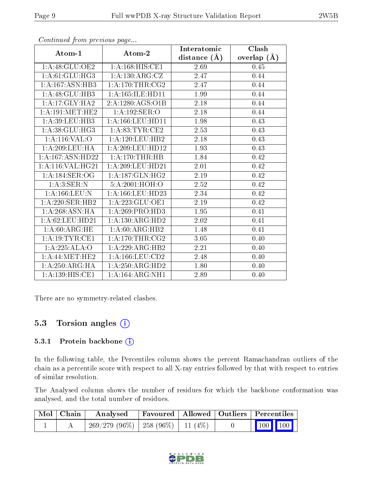|                       |                              | Interatomic      | $\overline{\text{Clash}}$ |
|-----------------------|------------------------------|------------------|---------------------------|
| Atom-1                | Atom-2                       | distance $(\AA)$ | overlap $(A)$             |
| $1:$ A:48:GLU:OE2     | 1:A:168:HIS:CE1              | 2.69             | 0.45                      |
| 1: A:61: GLU: HG3     | 1:A:130:ARG:CZ               | 2.47             | 0.44                      |
| 1:A:167:ASN:HB3       | 1: A:170:THR:CG2             | 2.47             | 0.44                      |
| 1:A:48:GLU:HB3        | 1: A: 165: ILE: HD11         | 1.99             | 0.44                      |
| 1:A:17:GLY:HA2        | 2:A:1280:AGS:O1B             | 2.18             | 0.44                      |
| 1: A:191:MET:HE2      | 1:A:192:SER:O                | 2.18             | 0.44                      |
| 1:A:39:LEU:HB3        | 1:A:166:LEU:HD11             | 1.98             | 0.43                      |
| 1: A:38: GLU: HG3     | 1: A:83:TYR:CE2              | 2.53             | 0.43                      |
| 1: A:116: VAL:O       | 1:A:120:LEU:HB2              | 2.18             | 0.43                      |
| 1:A:209:LEU:HA        | 1: A:209:LEU:HD12            | 1.93             | 0.43                      |
| 1: A: 167: A SN: HD22 | 1: A:170:THR:HB              | 1.84             | 0.42                      |
| 1: A:116: VAL:HG21    | 1: A:209:LEU:HD21            | 2.01             | 0.42                      |
| 1: A:184: SER:OG      | 1: A: 187: GLN: HG2          | 2.19             | 0.42                      |
| 1:A:3:SER:N           | 5:A:2001:HOH:O               | 2.52             | 0.42                      |
| 1: A: 166: LEU: N     | 1:A:166:LEU:HD23             | 2.34             | 0.42                      |
| 1:A:220:SER:HB2       | 1: A: 223: GLU: OE1          | 2.19             | 0.42                      |
| 1:A:268:ASN:HA        | 1: A:269: PRO:HD3            | 1.95             | 0.41                      |
| 1: A:62:LEU:HD21      | 1:A:130:ARG:HD2              | 2.02             | 0.41                      |
| 1: A:60:ARG:HE        | 1:A:60:ARG:HB2               | 1.48             | 0.41                      |
| 1: A:19: TYR: CE1     | 1: A:170:THR:CG2             | 3.05             | 0.40                      |
| 1:A:225:ALA:O         | 1:A:229:ARG:HB2              | 2.21             | 0.40                      |
| 1: A:44:MET:HE2       | $1:$ A:166:LEU: $CD2$        | 2.48             | 0.40                      |
| 1: A:250:ARG:HA       | 1:A:250:ARG:HD2              | 1.80             | 0.40                      |
| 1:A:139:HIS:CE1       | $1:A:164:ARG:\overline{NH1}$ | 2.89             | 0.40                      |

Continued from previous page...

There are no symmetry-related clashes.

### 5.3 Torsion angles (i)

#### 5.3.1 Protein backbone (i)

In the following table, the Percentiles column shows the percent Ramachandran outliers of the chain as a percentile score with respect to all X-ray entries followed by that with respect to entries of similar resolution.

The Analysed column shows the number of residues for which the backbone conformation was analysed, and the total number of residues.

| $\mid$ Mol $\mid$ Chain $\mid$ | Analysed                                 | $\mid$ Favoured $\mid$ Allowed $\mid$ Outliers $\mid$ Percentiles |  |                         |  |
|--------------------------------|------------------------------------------|-------------------------------------------------------------------|--|-------------------------|--|
|                                | $269/279$ (96\%)   258 (96\%)   11 (4\%) |                                                                   |  | $\vert$ 100 100 $\vert$ |  |

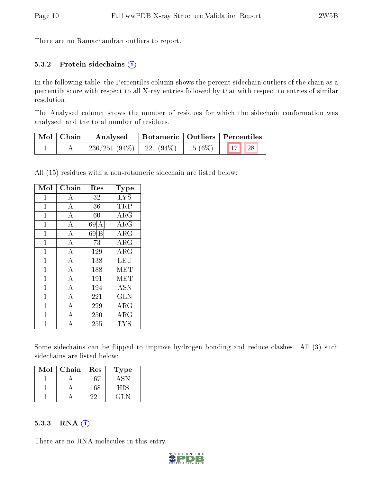There are no Ramachandran outliers to report.

#### 5.3.2 Protein sidechains  $(i)$

In the following table, the Percentiles column shows the percent sidechain outliers of the chain as a percentile score with respect to all X-ray entries followed by that with respect to entries of similar resolution.

The Analysed column shows the number of residues for which the sidechain conformation was analysed, and the total number of residues.

| Mol   Chain | Analysed                                          | Rotameric   Outliers   Percentiles |  |  |
|-------------|---------------------------------------------------|------------------------------------|--|--|
|             | $'$ 236/251 (94%)   221 (94%)   15 (6%)   17   28 |                                    |  |  |

All (15) residues with a non-rotameric sidechain are listed below:

| Mol            | Chain              | Res  | <b>Type</b> |
|----------------|--------------------|------|-------------|
| $\mathbf 1$    | А                  | 32   | <b>LYS</b>  |
| $\mathbf{1}$   | $\bf{A}$           | 36   | TRP         |
| $\overline{1}$ | $\overline{\rm A}$ | 60   | <b>ARG</b>  |
| $\mathbf 1$    | $\boldsymbol{A}$   | 69[A | $\rm{ARG}$  |
| $\overline{1}$ | $\bf{A}$           | 69 B | <b>ARG</b>  |
| $\mathbf{1}$   | $\overline{\rm A}$ | 73   | <b>ARG</b>  |
| $\mathbf{1}$   | $\bf{A}$           | 129  | ARG         |
| $\mathbf{1}$   | $\overline{\rm A}$ | 138  | LEU         |
| $\mathbf 1$    | $\overline{\rm A}$ | 188  | <b>MET</b>  |
| $\mathbf{1}$   | $\bf{A}$           | 191  | <b>MET</b>  |
| $\mathbf{1}$   | $\overline{A}$     | 194  | <b>ASN</b>  |
| $\mathbf 1$    | $\overline{\rm A}$ | 221  | <b>GLN</b>  |
| $\mathbf 1$    | $\boldsymbol{A}$   | 229  | ${\rm ARG}$ |
| $\mathbf{1}$   | $\overline{A}$     | 250  | $\rm{ARG}$  |
| 1              | $\overline{\rm A}$ | 255  | <b>LYS</b>  |

Some sidechains can be flipped to improve hydrogen bonding and reduce clashes. All (3) such sidechains are listed below:

| Mol | Chain | $\operatorname{Res}% \left( \mathcal{N}\right) \equiv\operatorname{Res}(\mathcal{N}_{0},\mathcal{N}_{0})$ | Type   |
|-----|-------|-----------------------------------------------------------------------------------------------------------|--------|
|     |       | 167                                                                                                       | ASD    |
|     |       | 168                                                                                                       | HIS    |
|     |       | 221                                                                                                       | 12 L.N |

#### 5.3.3 RNA (i)

There are no RNA molecules in this entry.

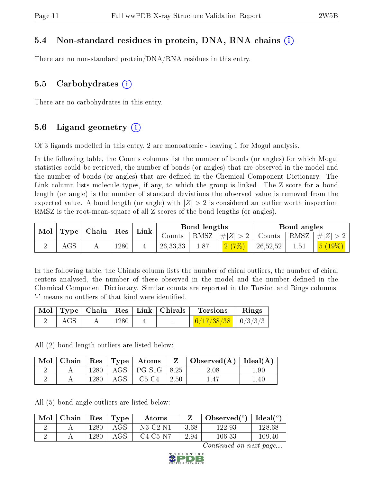### 5.4 Non-standard residues in protein, DNA, RNA chains (i)

There are no non-standard protein/DNA/RNA residues in this entry.

#### 5.5 Carbohydrates  $(i)$

There are no carbohydrates in this entry.

### 5.6 Ligand geometry  $(i)$

Of 3 ligands modelled in this entry, 2 are monoatomic - leaving 1 for Mogul analysis.

In the following table, the Counts columns list the number of bonds (or angles) for which Mogul statistics could be retrieved, the number of bonds (or angles) that are observed in the model and the number of bonds (or angles) that are dened in the Chemical Component Dictionary. The Link column lists molecule types, if any, to which the group is linked. The Z score for a bond length (or angle) is the number of standard deviations the observed value is removed from the expected value. A bond length (or angle) with  $|Z| > 2$  is considered an outlier worth inspection. RMSZ is the root-mean-square of all Z scores of the bond lengths (or angles).

| $\vert$ Mol $\vert$ Type $\vert$ Chain $\vert$ Res $\vert$ |            |  |      |  |            |      |                       | $\perp$ Link                                       | <b>Bond lengths</b> |        |  | Bond angles |  |  |
|------------------------------------------------------------|------------|--|------|--|------------|------|-----------------------|----------------------------------------------------|---------------------|--------|--|-------------|--|--|
|                                                            |            |  |      |  | Counts     |      | $ RMSZ  \#  Z  > 2  $ | $\perp$ Counts $\parallel$ RMSZ $\parallel \#  Z $ |                     |        |  |             |  |  |
|                                                            | $\rm{AGS}$ |  | 1280 |  | 26, 33, 33 | 1.87 | 2(7%)                 | 26,52,52                                           | 1.51                | 5(19%) |  |             |  |  |

In the following table, the Chirals column lists the number of chiral outliers, the number of chiral centers analysed, the number of these observed in the model and the number defined in the Chemical Component Dictionary. Similar counts are reported in the Torsion and Rings columns. '-' means no outliers of that kind were identified.

|       |            |  | Mol   Type   Chain   Res   Link   Chirals   Torsions   Rings               |  |
|-------|------------|--|----------------------------------------------------------------------------|--|
| ' AGS | $\pm 1280$ |  | $\begin{array}{ c c c c c c c c } \hline 6/17/38/38 & 0/3/3/3 \end{array}$ |  |

All (2) bond length outliers are listed below:

| $\bf{Mol}$ |      |     | $\vert$ Chain $\vert$ Res $\vert$ Type $\vert$ Atoms |      | $Z \mid$ Observed(A)   Ideal(A) |          |
|------------|------|-----|------------------------------------------------------|------|---------------------------------|----------|
|            | 1280 |     | $\vert$ AGS $\vert$ PG-S1G $\vert$ 8.25              |      | 2.08                            | $1.90\,$ |
|            | 1280 | AGS | $C5-C4$                                              | 2.50 | 147                             | 1.40     |

All (5) bond angle outliers are listed below:

| Mol | Chain | Res  | $\Gamma$ Type | Atoms      |         | Observed( $^{\circ}$ )   Ideal( $^{\circ}$ ) |        |
|-----|-------|------|---------------|------------|---------|----------------------------------------------|--------|
|     |       | 1280 | $\rm{AGS}$    | $N3-C2-N1$ | $-3.68$ | 122.93                                       | 128.68 |
|     |       | 1280 | $\rm{AGS}$    | $C4-C5-N7$ | $-2.94$ | $106.33\,$                                   | 109.40 |

Continued on next page...

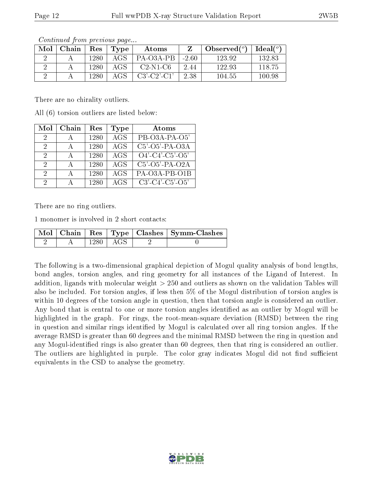| Mol | Chain | Res  | Type | Atoms                 |        | Observed $(°)$ | Ideal $(°)$ |
|-----|-------|------|------|-----------------------|--------|----------------|-------------|
|     |       | 1280 | AGS  | PA-03A-PB             | - 2.60 | 123.92         | 132.83      |
|     |       | 1280 | AGS  | $C2-N1-C6$            | 2.44   | 122.93         | 118.75      |
|     |       | 1280 | AGS  | $C3'$ - $C2'$ - $C1'$ | 2.38   | 104.55         | 100.98      |

Continued from previous page...

There are no chirality outliers.

All (6) torsion outliers are listed below:

| Mol           | Chain        | Res  | Type       | Atoms                         |
|---------------|--------------|------|------------|-------------------------------|
| $\mathcal{D}$ |              | 1280 | AGS        | PB-O3A-PA-O5'                 |
| $\mathcal{D}$ | $\mathbf{A}$ | 1280 | AGS        | $C5'$ -O5'-PA-O3A             |
| 2             | $\mathbf{A}$ | 1280 | <b>AGS</b> | $O4'$ -C4'-C5'-O5'            |
| $\mathcal{D}$ | А            | 1280 | <b>AGS</b> | $C5'-O5'-PA-O2A$              |
| $\Omega$      | А            | 1280 | <b>AGS</b> | PA-O3A-PB-O1B                 |
| 2             |              | 1280 | AGS.       | $C3'$ - $C4'$ - $C5'$ - $O5'$ |

There are no ring outliers.

1 monomer is involved in 2 short contacts:

|  |      |         | Mol   Chain   Res   Type   Clashes   Symm-Clashes |
|--|------|---------|---------------------------------------------------|
|  | 1280 | . AGS - |                                                   |

The following is a two-dimensional graphical depiction of Mogul quality analysis of bond lengths, bond angles, torsion angles, and ring geometry for all instances of the Ligand of Interest. In addition, ligands with molecular weight > 250 and outliers as shown on the validation Tables will also be included. For torsion angles, if less then 5% of the Mogul distribution of torsion angles is within 10 degrees of the torsion angle in question, then that torsion angle is considered an outlier. Any bond that is central to one or more torsion angles identified as an outlier by Mogul will be highlighted in the graph. For rings, the root-mean-square deviation (RMSD) between the ring in question and similar rings identified by Mogul is calculated over all ring torsion angles. If the average RMSD is greater than 60 degrees and the minimal RMSD between the ring in question and any Mogul-identified rings is also greater than 60 degrees, then that ring is considered an outlier. The outliers are highlighted in purple. The color gray indicates Mogul did not find sufficient equivalents in the CSD to analyse the geometry.

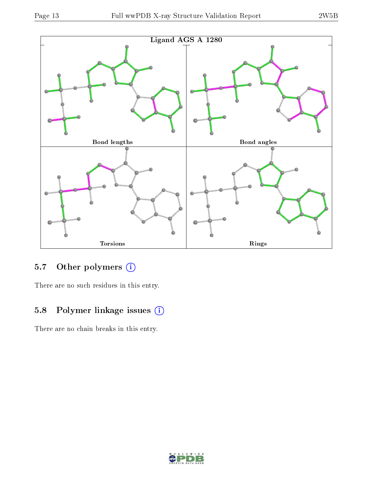

## 5.7 [O](https://www.wwpdb.org/validation/2017/XrayValidationReportHelp#nonstandard_residues_and_ligands)ther polymers (i)

There are no such residues in this entry.

## 5.8 Polymer linkage issues (i)

There are no chain breaks in this entry.

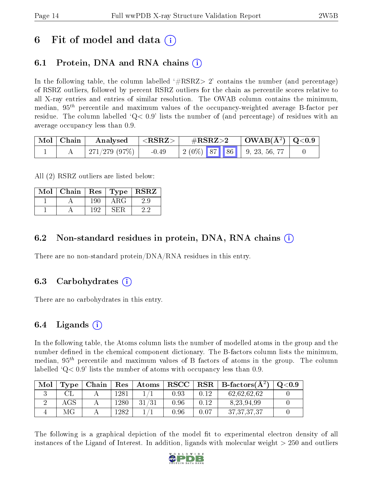# 6 Fit of model and data  $\left( \cdot \right)$

# 6.1 Protein, DNA and RNA chains (i)

In the following table, the column labelled  $#RSRZ> 2'$  contains the number (and percentage) of RSRZ outliers, followed by percent RSRZ outliers for the chain as percentile scores relative to all X-ray entries and entries of similar resolution. The OWAB column contains the minimum, median,  $95<sup>th</sup>$  percentile and maximum values of the occupancy-weighted average B-factor per residue. The column labelled  $Q< 0.9$  lists the number of (and percentage) of residues with an average occupancy less than 0.9.

| Mol | Chain | Analysed     | ${ <\hspace{-1.5pt}{\mathrm{RSRZ}} \hspace{-1.5pt}>}$ | $\#\text{RSRZ}\text{>2}$          | $\mid$ OWAB(Å <sup>2</sup> ) $\mid$ Q<0.9 |  |
|-----|-------|--------------|-------------------------------------------------------|-----------------------------------|-------------------------------------------|--|
|     |       | 271/279(97%) | $-0.49$                                               | $\mid$ 2 (0%) 87 86 9, 23, 56, 77 |                                           |  |

All (2) RSRZ outliers are listed below:

| Mol | Chain | $\mid$ Res |      | $Type   R\overline{SRZ}$ |
|-----|-------|------------|------|--------------------------|
|     |       | 196        | ΑRG  |                          |
|     |       | 192        | ∹н∶⊩ |                          |

### 6.2 Non-standard residues in protein, DNA, RNA chains  $(i)$

There are no non-standard protein/DNA/RNA residues in this entry.

### 6.3 Carbohydrates (i)

There are no carbohydrates in this entry.

### 6.4 Ligands  $(i)$

In the following table, the Atoms column lists the number of modelled atoms in the group and the number defined in the chemical component dictionary. The B-factors column lists the minimum, median,  $95<sup>th</sup>$  percentile and maximum values of B factors of atoms in the group. The column labelled  $Q < 0.9$  lists the number of atoms with occupancy less than 0.9.

| Mol | Type       | Chain | Res    | Atoms | ${\bf RSCC}$ | $_{\rm RSR}$ | B-factors( $\AA^2$ ) | $\mathrm{O}{<}0.9$ |
|-----|------------|-------|--------|-------|--------------|--------------|----------------------|--------------------|
|     |            |       | l 28 1 |       | $\rm 0.93$   | $\rm 0.12$   | 62,62,62,62          |                    |
|     | $\rm{AGS}$ |       | 280    | 31/31 | 0.96         | በ 19         | 8, 23, 94, 99        |                    |
|     |            |       | 1282   |       | 0.96         | $0.07\,$     | 37, 37, 37, 37       |                    |

The following is a graphical depiction of the model fit to experimental electron density of all instances of the Ligand of Interest. In addition, ligands with molecular weight  $> 250$  and outliers